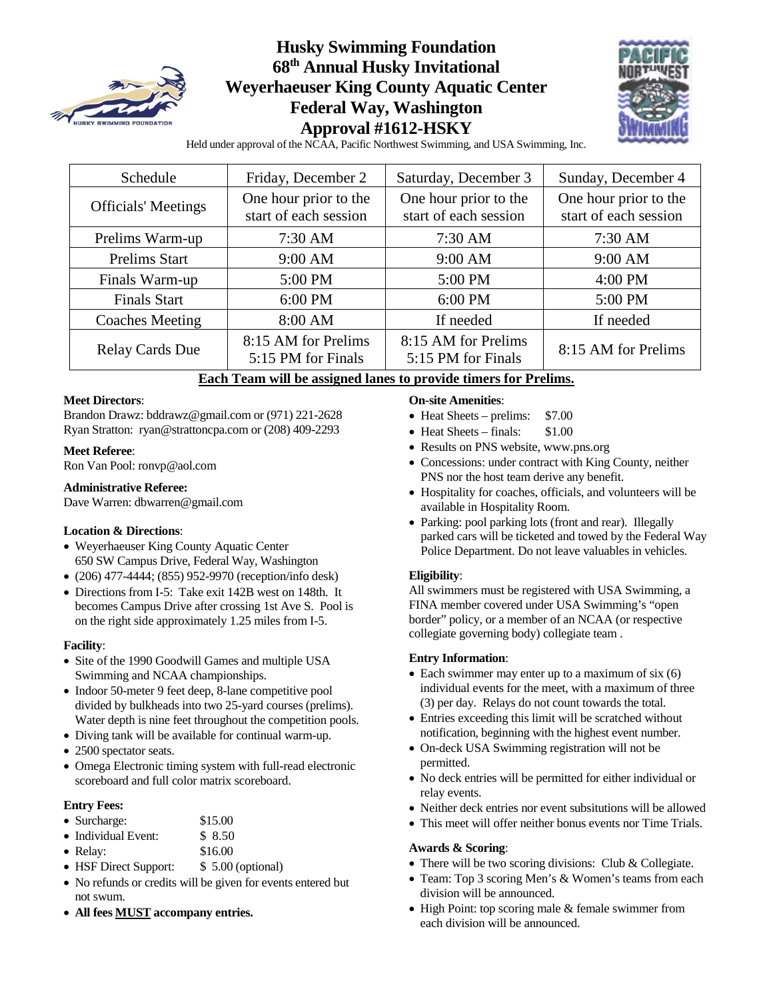

# **Husky Swimming Foundation 68th Annual Husky Invitational Weyerhaeuser King County Aquatic Center Federal Way, Washington Approval #1612-HSKY**



Held under approval of the NCAA, Pacific Northwest Swimming, and USA Swimming, Inc.

| Schedule                   | Friday, December 2                             |                                                | Sunday, December 4                             |  |
|----------------------------|------------------------------------------------|------------------------------------------------|------------------------------------------------|--|
| <b>Officials' Meetings</b> | One hour prior to the<br>start of each session | One hour prior to the<br>start of each session | One hour prior to the<br>start of each session |  |
| Prelims Warm-up            | 7:30 AM                                        | $7:30$ AM                                      | $7:30$ AM                                      |  |
| <b>Prelims Start</b>       | 9:00 AM                                        | 9:00 AM                                        | 9:00 AM                                        |  |
| Finals Warm-up             | 5:00 PM                                        | 5:00 PM                                        | 4:00 PM                                        |  |
| <b>Finals Start</b>        | 6:00 PM                                        | 6:00 PM                                        | 5:00 PM                                        |  |
| <b>Coaches Meeting</b>     | 8:00 AM                                        | If needed                                      | If needed                                      |  |
| <b>Relay Cards Due</b>     | 8:15 AM for Prelims<br>5:15 PM for Finals      | 8:15 AM for Prelims<br>5:15 PM for Finals      | 8:15 AM for Prelims                            |  |

## **Each Team will be assigned lanes to provide timers for Prelims.**

#### **Meet Directors**:

Brandon Drawz[: bddrawz@gmail.com](mailto:bddrawz@gmail.com) or (971) 221-2628 Ryan Stratton: [ryan@strattoncpa.com](mailto:ryan@strattoncpa.com) or (208) 409-2293

#### **Meet Referee**:

Ron Van Pool[: ronvp@aol.com](mailto:ronvp@aol.com)

#### **Administrative Referee:**

Dave Warren[: dbwarren@gmail.com](mailto:dbwarren@gmail.com)

#### **Location & Directions**:

- Weyerhaeuser King County Aquatic Center 650 SW Campus Drive, Federal Way, Washington
- (206) 477-4444; (855) 952-9970 (reception/info desk)
- Directions from I-5: Take exit 142B west on 148th. It becomes Campus Drive after crossing 1st Ave S. Pool is on the right side approximately 1.25 miles from I-5.

#### **Facility**:

- Site of the 1990 Goodwill Games and multiple USA Swimming and NCAA championships.
- Indoor 50-meter 9 feet deep, 8-lane competitive pool divided by bulkheads into two 25-yard courses (prelims). Water depth is nine feet throughout the competition pools.
- Diving tank will be available for continual warm-up.
- 2500 spectator seats.
- Omega Electronic timing system with full-read electronic scoreboard and full color matrix scoreboard.

#### **Entry Fees:**

- Surcharge: \$15.00
- Individual Event: \$ 8.50
- Relay: \$16.00
- HSF Direct Support: \$ 5.00 (optional)
- No refunds or credits will be given for events entered but not swum.
- **All fees MUST accompany entries.**

#### **On-site Amenities**:

- Heat Sheets prelims: \$7.00
- Heat Sheets finals: \$1.00
- Results on PNS website, www.pns.org
- Concessions: under contract with King County, neither PNS nor the host team derive any benefit.
- Hospitality for coaches, officials, and volunteers will be available in Hospitality Room.
- Parking: pool parking lots (front and rear). Illegally parked cars will be ticketed and towed by the Federal Way Police Department. Do not leave valuables in vehicles.

#### **Eligibility**:

All swimmers must be registered with USA Swimming, a FINA member covered under USA Swimming's "open border" policy, or a member of an NCAA (or respective collegiate governing body) collegiate team .

#### **Entry Information**:

- Each swimmer may enter up to a maximum of six (6) individual events for the meet, with a maximum of three (3) per day. Relays do not count towards the total.
- Entries exceeding this limit will be scratched without notification, beginning with the highest event number.
- On-deck USA Swimming registration will not be permitted.
- No deck entries will be permitted for either individual or relay events.
- Neither deck entries nor event subsitutions will be allowed
- This meet will offer neither bonus events nor Time Trials.

#### **Awards & Scoring**:

- There will be two scoring divisions: Club & Collegiate.
- Team: Top 3 scoring Men's & Women's teams from each division will be announced.
- High Point: top scoring male & female swimmer from each division will be announced.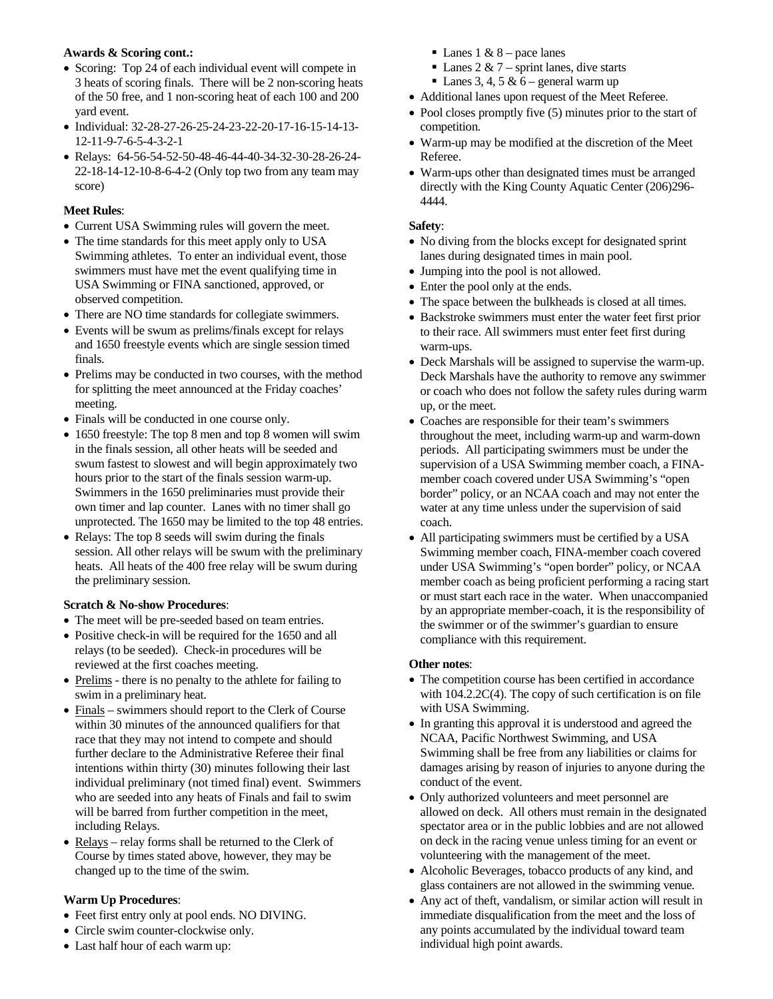#### **Awards & Scoring cont.:**

- Scoring: Top 24 of each individual event will compete in 3 heats of scoring finals. There will be 2 non-scoring heats of the 50 free, and 1 non-scoring heat of each 100 and 200 yard event.
- Individual: 32-28-27-26-25-24-23-22-20-17-16-15-14-13- 12-11-9-7-6-5-4-3-2-1
- Relays: 64-56-54-52-50-48-46-44-40-34-32-30-28-26-24- 22-18-14-12-10-8-6-4-2 (Only top two from any team may score)

### **Meet Rules**:

- Current USA Swimming rules will govern the meet.
- The time standards for this meet apply only to USA Swimming athletes. To enter an individual event, those swimmers must have met the event qualifying time in USA Swimming or FINA sanctioned, approved, or observed competition.
- There are NO time standards for collegiate swimmers.
- Events will be swum as prelims/finals except for relays and 1650 freestyle events which are single session timed finals.
- Prelims may be conducted in two courses, with the method for splitting the meet announced at the Friday coaches' meeting.
- Finals will be conducted in one course only.
- 1650 freestyle: The top 8 men and top 8 women will swim in the finals session, all other heats will be seeded and swum fastest to slowest and will begin approximately two hours prior to the start of the finals session warm-up. Swimmers in the 1650 preliminaries must provide their own timer and lap counter. Lanes with no timer shall go unprotected. The 1650 may be limited to the top 48 entries.
- Relays: The top 8 seeds will swim during the finals session. All other relays will be swum with the preliminary heats. All heats of the 400 free relay will be swum during the preliminary session.

### **Scratch & No-show Procedures**:

- The meet will be pre-seeded based on team entries.
- Positive check-in will be required for the 1650 and all relays (to be seeded). Check-in procedures will be reviewed at the first coaches meeting.
- Prelims there is no penalty to the athlete for failing to swim in a preliminary heat.
- Finals swimmers should report to the Clerk of Course within 30 minutes of the announced qualifiers for that race that they may not intend to compete and should further declare to the Administrative Referee their final intentions within thirty (30) minutes following their last individual preliminary (not timed final) event. Swimmers who are seeded into any heats of Finals and fail to swim will be barred from further competition in the meet, including Relays.
- Relays relay forms shall be returned to the Clerk of Course by times stated above, however, they may be changed up to the time of the swim.

### **Warm Up Procedures**:

- Feet first entry only at pool ends. NO DIVING.
- Circle swim counter-clockwise only.
- Last half hour of each warm up:
- Lanes 1 &  $8$  pace lanes
- $\blacksquare$  Lanes 2 & 7 sprint lanes, dive starts
- $\blacksquare$  Lanes 3, 4, 5 & 6 general warm up
- Additional lanes upon request of the Meet Referee.
- Pool closes promptly five (5) minutes prior to the start of competition.
- Warm-up may be modified at the discretion of the Meet Referee.
- Warm-ups other than designated times must be arranged directly with the King County Aquatic Center (206)296- 4444.

#### **Safety**:

- No diving from the blocks except for designated sprint lanes during designated times in main pool.
- Jumping into the pool is not allowed.
- Enter the pool only at the ends.
- The space between the bulkheads is closed at all times.
- Backstroke swimmers must enter the water feet first prior to their race. All swimmers must enter feet first during warm-ups.
- Deck Marshals will be assigned to supervise the warm-up. Deck Marshals have the authority to remove any swimmer or coach who does not follow the safety rules during warm up, or the meet.
- Coaches are responsible for their team's swimmers throughout the meet, including warm-up and warm-down periods. All participating swimmers must be under the supervision of a USA Swimming member coach, a FINAmember coach covered under USA Swimming's "open border" policy, or an NCAA coach and may not enter the water at any time unless under the supervision of said coach.
- All participating swimmers must be certified by a USA Swimming member coach, FINA-member coach covered under USA Swimming's "open border" policy, or NCAA member coach as being proficient performing a racing start or must start each race in the water. When unaccompanied by an appropriate member-coach, it is the responsibility of the swimmer or of the swimmer's guardian to ensure compliance with this requirement.

#### **Other notes**:

- The competition course has been certified in accordance with 104.2.2C(4). The copy of such certification is on file with USA Swimming.
- In granting this approval it is understood and agreed the NCAA, Pacific Northwest Swimming, and USA Swimming shall be free from any liabilities or claims for damages arising by reason of injuries to anyone during the conduct of the event.
- Only authorized volunteers and meet personnel are allowed on deck. All others must remain in the designated spectator area or in the public lobbies and are not allowed on deck in the racing venue unless timing for an event or volunteering with the management of the meet.
- Alcoholic Beverages, tobacco products of any kind, and glass containers are not allowed in the swimming venue.
- Any act of theft, vandalism, or similar action will result in immediate disqualification from the meet and the loss of any points accumulated by the individual toward team individual high point awards.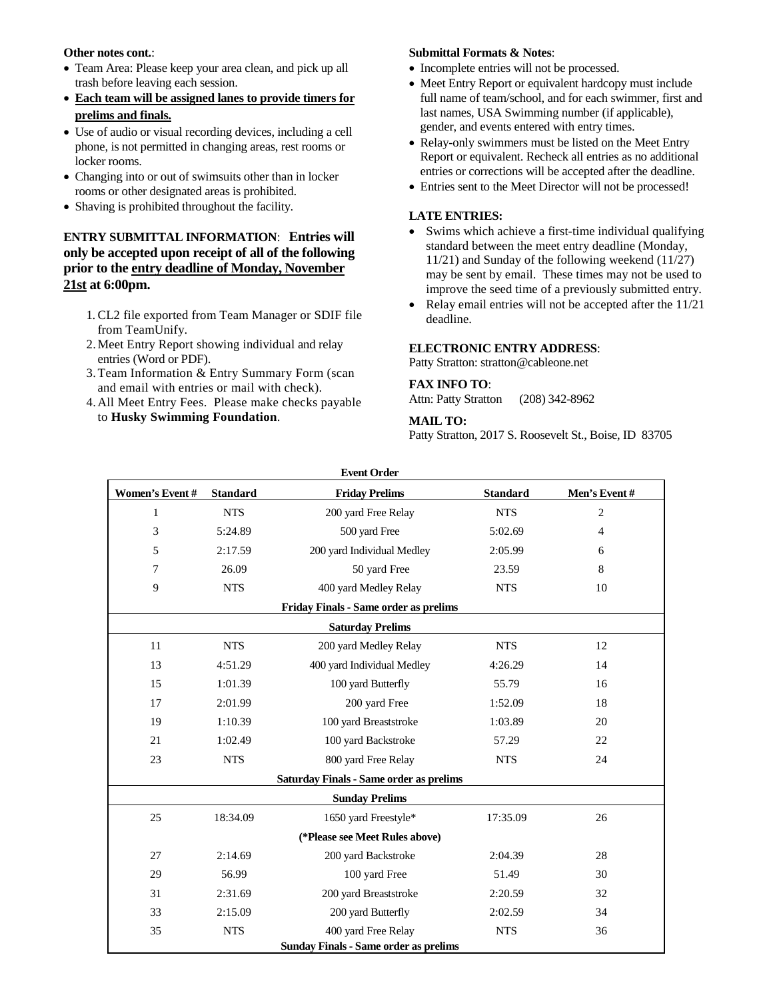#### **Other notes cont.**:

- Team Area: Please keep your area clean, and pick up all trash before leaving each session.
- **Each team will be assigned lanes to provide timers for prelims and finals.**
- Use of audio or visual recording devices, including a cell phone, is not permitted in changing areas, rest rooms or locker rooms.
- Changing into or out of swimsuits other than in locker rooms or other designated areas is prohibited.
- Shaving is prohibited throughout the facility.

### **ENTRY SUBMITTAL INFORMATION**: **Entries will only be accepted upon receipt of all of the following prior to the entry deadline of Monday, November 21st at 6:00pm.**

- 1. CL2 file exported from Team Manager or SDIF file from TeamUnify.
- 2.Meet Entry Report showing individual and relay entries (Word or PDF).
- 3.Team Information & Entry Summary Form (scan and email with entries or mail with check).
- 4.All Meet Entry Fees. Please make checks payable to **Husky Swimming Foundation**.

#### **Submittal Formats & Notes**:

- Incomplete entries will not be processed.
- Meet Entry Report or equivalent hardcopy must include full name of team/school, and for each swimmer, first and last names, USA Swimming number (if applicable), gender, and events entered with entry times.
- Relay-only swimmers must be listed on the Meet Entry Report or equivalent. Recheck all entries as no additional entries or corrections will be accepted after the deadline.
- Entries sent to the Meet Director will not be processed!

#### **LATE ENTRIES:**

- Swims which achieve a first-time individual qualifying standard between the meet entry deadline (Monday, 11/21) and Sunday of the following weekend (11/27) may be sent by email. These times may not be used to improve the seed time of a previously submitted entry.
- Relay email entries will not be accepted after the 11/21 deadline.

#### **ELECTRONIC ENTRY ADDRESS**:

Patty Stratton: [stratton@cableone.net](mailto:stratton@cableone.net)

#### **FAX INFO TO**:

Attn: Patty Stratton (208) 342-8962

#### **MAIL TO:**

Patty Stratton, 2017 S. Roosevelt St., Boise, ID 83705

| <b>Event Order</b>                             |                 |                                              |                 |              |  |  |  |  |
|------------------------------------------------|-----------------|----------------------------------------------|-----------------|--------------|--|--|--|--|
| Women's Event #                                | <b>Standard</b> | <b>Friday Prelims</b>                        | <b>Standard</b> | Men's Event# |  |  |  |  |
| 1                                              | <b>NTS</b>      | 200 yard Free Relay                          | <b>NTS</b>      |              |  |  |  |  |
| 3                                              | 5:24.89         | 500 yard Free                                | 5:02.69         |              |  |  |  |  |
| 5                                              | 2:17.59         | 200 yard Individual Medley                   | 2:05.99         | 6            |  |  |  |  |
| 7                                              | 26.09           | 50 yard Free                                 | 23.59           | 8            |  |  |  |  |
| 9                                              | <b>NTS</b>      | 400 yard Medley Relay                        | <b>NTS</b>      | 10           |  |  |  |  |
|                                                |                 | <b>Friday Finals - Same order as prelims</b> |                 |              |  |  |  |  |
|                                                |                 | <b>Saturday Prelims</b>                      |                 |              |  |  |  |  |
| 11                                             | <b>NTS</b>      | 200 yard Medley Relay                        | <b>NTS</b>      | 12           |  |  |  |  |
| 13                                             | 4:51.29         | 400 yard Individual Medley                   | 4:26.29         | 14           |  |  |  |  |
| 15                                             | 1:01.39         | 100 yard Butterfly                           | 55.79           | 16           |  |  |  |  |
| 17                                             | 2:01.99         | 200 yard Free                                | 1:52.09         | 18           |  |  |  |  |
| 19                                             | 1:10.39         | 100 yard Breaststroke                        | 1:03.89         | 20           |  |  |  |  |
| 21                                             | 1:02.49         | 100 yard Backstroke                          | 57.29           | 22           |  |  |  |  |
| 23                                             | <b>NTS</b>      | 800 yard Free Relay                          | <b>NTS</b>      | 24           |  |  |  |  |
| <b>Saturday Finals - Same order as prelims</b> |                 |                                              |                 |              |  |  |  |  |
|                                                |                 | <b>Sunday Prelims</b>                        |                 |              |  |  |  |  |
| 25                                             | 18:34.09        | 1650 yard Freestyle*                         | 17:35.09        | 26           |  |  |  |  |
|                                                |                 | (*Please see Meet Rules above)               |                 |              |  |  |  |  |
| 27                                             | 2:14.69         | 200 yard Backstroke                          | 2:04.39         | 28           |  |  |  |  |
| 29                                             | 56.99           | 100 yard Free                                | 51.49           | 30           |  |  |  |  |
| 31                                             | 2:31.69         | 200 yard Breaststroke                        | 2:20.59         | 32           |  |  |  |  |
| 33                                             | 2:15.09         | 200 yard Butterfly                           | 2:02.59         | 34           |  |  |  |  |
| 35                                             | <b>NTS</b>      | 400 yard Free Relay                          | <b>NTS</b>      | 36           |  |  |  |  |
|                                                |                 | <b>Sunday Finals - Same order as prelims</b> |                 |              |  |  |  |  |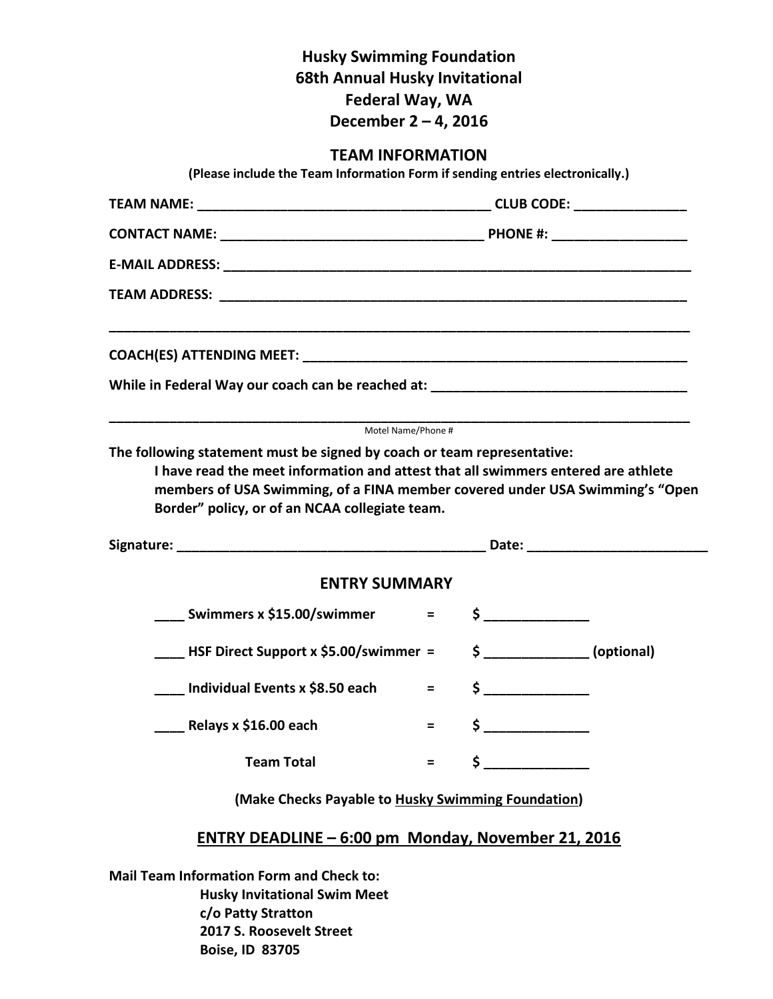# **Husky Swimming Foundation 68th Annual Husky Invitational Federal Way, WA December 2 – 4, 2016**

**TEAM INFORMATION (Please include the Team Information Form if sending entries electronically.) TEAM NAME: \_\_\_\_\_\_\_\_\_\_\_\_\_\_\_\_\_\_\_\_\_\_\_\_\_\_\_\_\_\_\_\_\_\_\_\_\_\_\_ CLUB CODE: \_\_\_\_\_\_\_\_\_\_\_\_\_\_\_ CONTACT NAME:**  $\qquad \qquad \blacksquare$ **E-MAIL ADDRESS:**  $\blacksquare$ **TEAM ADDRESS: \_\_\_\_\_\_\_\_\_\_\_\_\_\_\_\_\_\_\_\_\_\_\_\_\_\_\_\_\_\_\_\_\_\_\_\_\_\_\_\_\_\_\_\_\_\_\_\_\_\_\_\_\_\_\_\_\_\_\_\_\_\_ \_\_\_\_\_\_\_\_\_\_\_\_\_\_\_\_\_\_\_\_\_\_\_\_\_\_\_\_\_\_\_\_\_\_\_\_\_\_\_\_\_\_\_\_\_\_\_\_\_\_\_\_\_\_\_\_\_\_\_\_\_\_\_\_\_\_\_\_\_\_\_\_\_\_\_\_\_ COACH(ES) ATTENDING MEET: \_\_\_\_\_\_\_\_\_\_\_\_\_\_\_\_\_\_\_\_\_\_\_\_\_\_\_\_\_\_\_\_\_\_\_\_\_\_\_\_\_\_\_\_\_\_\_\_\_\_\_** While in Federal Way our coach can be reached at: **\_\_\_\_\_\_\_\_\_\_\_\_\_\_\_\_\_\_\_\_\_\_\_\_\_\_\_\_\_\_\_\_\_\_\_\_\_\_\_\_\_\_\_\_\_\_\_\_\_\_\_\_\_\_\_\_\_\_\_\_\_\_\_\_\_\_\_\_\_\_\_\_\_\_\_\_\_** Motel Name/Phone # **The following statement must be signed by coach or team representative: I have read the meet information and attest that all swimmers entered are athlete members of USA Swimming, of a FINA member covered under USA Swimming's "Open Border" policy, or of an NCAA collegiate team. Signature: Contract Contract Contract Contract Contract Contract Contract Contract Contract Contract Contract Contract Contract Contract Contract Contract Contract Contract Contract Contract Contract Contract Contract C ENTRY SUMMARY \_\_\_\_ Swimmers x \$15.00/swimmer = \$ \_\_\_\_\_\_\_\_\_\_\_\_\_\_ \_\_\_\_ HSF Direct Support x \$5.00/swimmer = \$ \_\_\_\_\_\_\_\_\_\_\_\_\_\_ (optional) \_\_\_\_ Individual Events x \$8.50 each = \$ \_\_\_\_\_\_\_\_\_\_\_\_\_\_ \_\_\_\_ Relays x \$16.00 each = \$ \_\_\_\_\_\_\_\_\_\_\_\_\_\_** Team Total  $=$  \$ <u>\_\_\_\_\_\_\_\_\_\_\_</u> **(Make Checks Payable to Husky Swimming Foundation)**

# **ENTRY DEADLINE – 6:00 pm Monday, November 21, 2016**

**Mail Team Information Form and Check to: Husky Invitational Swim Meet c/o Patty Stratton 2017 S. Roosevelt Street Boise, ID 83705**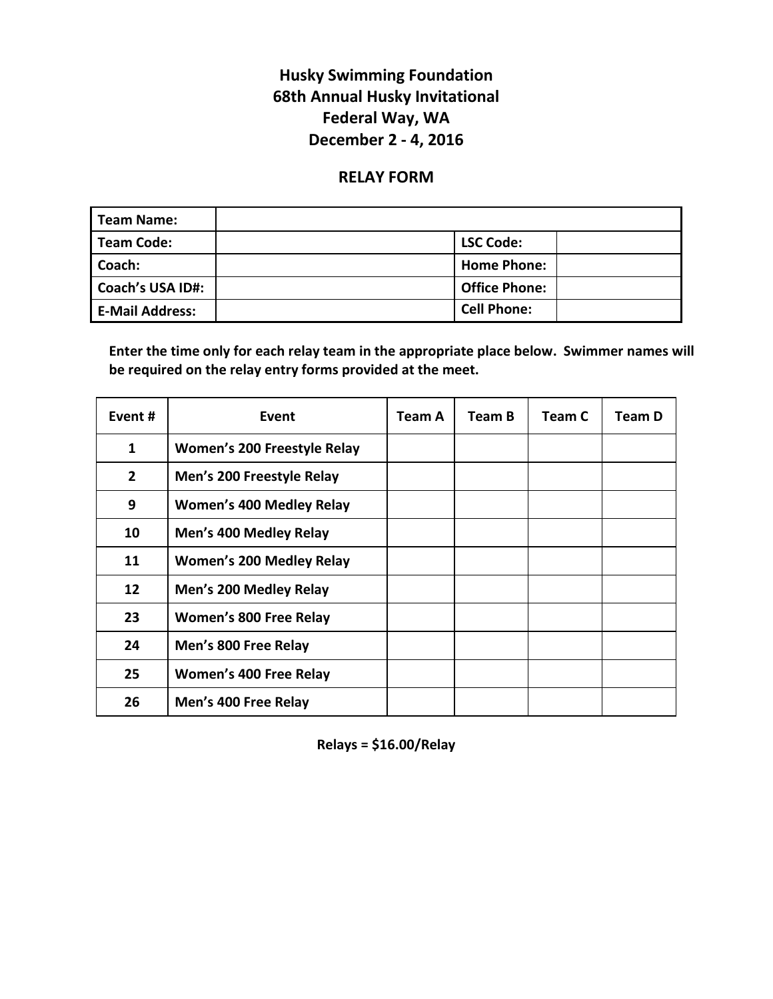# **Husky Swimming Foundation 68th Annual Husky Invitational Federal Way, WA December 2 - 4, 2016**

# **RELAY FORM**

| <b>Team Name:</b>       |                      |
|-------------------------|----------------------|
| <b>Team Code:</b>       | <b>LSC Code:</b>     |
| Coach:                  | <b>Home Phone:</b>   |
| <b>Coach's USA ID#:</b> | <b>Office Phone:</b> |
| <b>E-Mail Address:</b>  | <b>Cell Phone:</b>   |

**Enter the time only for each relay team in the appropriate place below. Swimmer names will be required on the relay entry forms provided at the meet.**

| Event#       | Event                              | Team A | Team B | Team C | Team D |
|--------------|------------------------------------|--------|--------|--------|--------|
| 1            | <b>Women's 200 Freestyle Relay</b> |        |        |        |        |
| $\mathbf{2}$ | Men's 200 Freestyle Relay          |        |        |        |        |
| 9            | <b>Women's 400 Medley Relay</b>    |        |        |        |        |
| 10           | Men's 400 Medley Relay             |        |        |        |        |
| 11           | <b>Women's 200 Medley Relay</b>    |        |        |        |        |
| 12           | Men's 200 Medley Relay             |        |        |        |        |
| 23           | Women's 800 Free Relay             |        |        |        |        |
| 24           | Men's 800 Free Relay               |        |        |        |        |
| 25           | Women's 400 Free Relay             |        |        |        |        |
| 26           | Men's 400 Free Relay               |        |        |        |        |

**Relays = \$16.00/Relay**